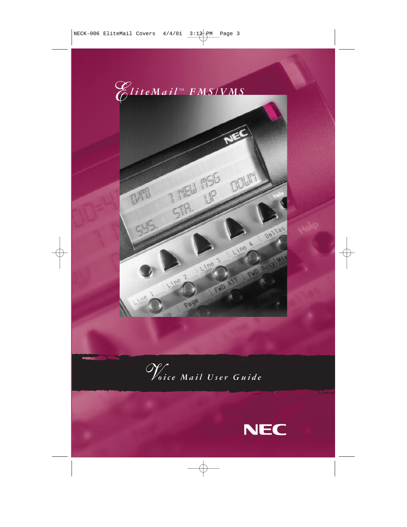

*Voice Mail User Guide*

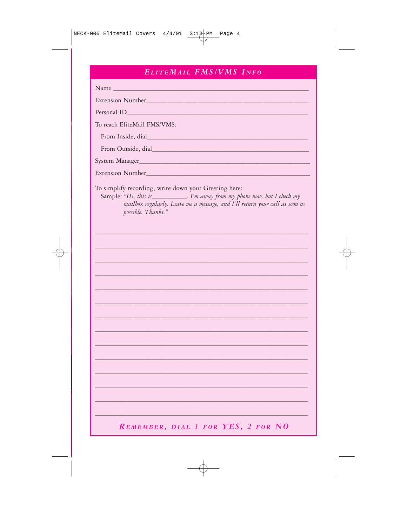# ELITEMAIL FMS/VMS INFO

| Extension Number Contract of the Contract of the Contract of the Contract of the Contract of the Contract of the Contract of the Contract of the Contract of the Contract of the Contract of the Contract of the Contract of t             |
|--------------------------------------------------------------------------------------------------------------------------------------------------------------------------------------------------------------------------------------------|
|                                                                                                                                                                                                                                            |
| To reach EliteMail FMS/VMS:                                                                                                                                                                                                                |
|                                                                                                                                                                                                                                            |
| From Outside, dial                                                                                                                                                                                                                         |
|                                                                                                                                                                                                                                            |
|                                                                                                                                                                                                                                            |
| To simplify recording, write down your Greeting here:<br>Sample: "Hi, this is____________. I'm away from my phone now, but I check my<br>mailbox regularly. Leave me a message, and I'll return your call as soon as<br>possible. Thanks." |
|                                                                                                                                                                                                                                            |
|                                                                                                                                                                                                                                            |
|                                                                                                                                                                                                                                            |
|                                                                                                                                                                                                                                            |
|                                                                                                                                                                                                                                            |
|                                                                                                                                                                                                                                            |
|                                                                                                                                                                                                                                            |
|                                                                                                                                                                                                                                            |
|                                                                                                                                                                                                                                            |
|                                                                                                                                                                                                                                            |
|                                                                                                                                                                                                                                            |
|                                                                                                                                                                                                                                            |
|                                                                                                                                                                                                                                            |
|                                                                                                                                                                                                                                            |
|                                                                                                                                                                                                                                            |
|                                                                                                                                                                                                                                            |
| REMEMBER, DIAL 1 FOR YES, 2 FOR NO                                                                                                                                                                                                         |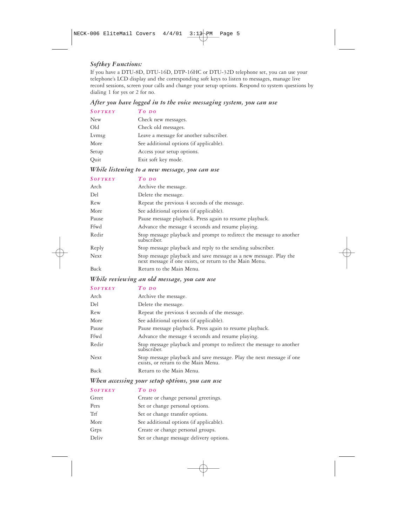### *Softkey Functions:*

If you have a DTU-8D, DTU-16D, DTP-16HC or DTU-32D telephone set, you can use your telephone's LCD display and the corresponding soft keys to listen to messages, manage live record sessions, screen your calls and change your setup options. Respond to system questions by dialing 1 for yes or 2 for no.

### *After you have logged in to the voice messaging system, you can use*

| <b>SOFTKEY</b> | $To$ DO                                 |
|----------------|-----------------------------------------|
| New            | Check new messages.                     |
| Old            | Check old messages.                     |
| Lymsg          | Leave a message for another subscriber. |
| More           | See additional options (if applicable). |
| Setup          | Access your setup options.              |
| Quit           | Exit soft key mode.                     |

### *While listening to a new message, you can use*

| <b>SOFTKEY</b> | $To\,po$                                                                                                                     |
|----------------|------------------------------------------------------------------------------------------------------------------------------|
| Arch           | Archive the message.                                                                                                         |
| Del            | Delete the message.                                                                                                          |
| Rew            | Repeat the previous 4 seconds of the message.                                                                                |
| More           | See additional options (if applicable).                                                                                      |
| Pause          | Pause message playback. Press again to resume playback.                                                                      |
| Ffwd           | Advance the message 4 seconds and resume playing.                                                                            |
| Redir          | Stop message playback and prompt to redirect the message to another<br>subscriber.                                           |
| Reply          | Stop message playback and reply to the sending subscriber.                                                                   |
| <b>Next</b>    | Stop message playback and save message as a new message. Play the<br>next message if one exists, or return to the Main Menu. |
| Back           | Return to the Main Menu.                                                                                                     |

### *While reviewing an old message, you can use*

### *SOFTKEY TO DO*

| Arch  | Archive the message.                                                                                        |
|-------|-------------------------------------------------------------------------------------------------------------|
| Del   | Delete the message.                                                                                         |
| Rew   | Repeat the previous 4 seconds of the message.                                                               |
| More  | See additional options (if applicable).                                                                     |
| Pause | Pause message playback. Press again to resume playback.                                                     |
| Ffwd  | Advance the message 4 seconds and resume playing.                                                           |
| Redir | Stop message playback and prompt to redirect the message to another<br>subscriber.                          |
| Next  | Stop message playback and save message. Play the next message if one<br>exists, or return to the Main Menu. |
| Back  | Return to the Main Menu.                                                                                    |

### *When accessing your setup options, you can use*

### *SOFTKEY TO DO*

| Greet | Create or change personal greetings.    |
|-------|-----------------------------------------|
| Pers  | Set or change personal options.         |
| Trf   | Set or change transfer options.         |
| More  | See additional options (if applicable). |
| Grps  | Create or change personal groups.       |
| Deliv | Set or change message delivery options. |
|       |                                         |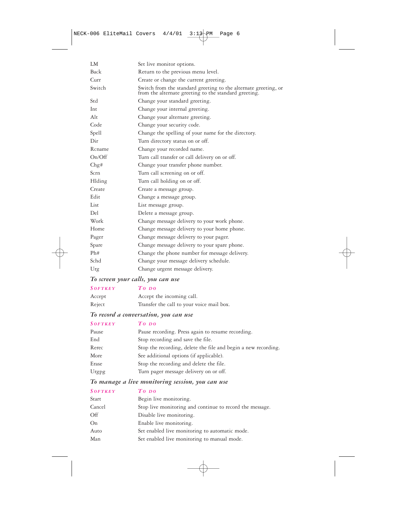| LM.    | Set live monitor options.                                                                                                |
|--------|--------------------------------------------------------------------------------------------------------------------------|
| Back   | Return to the previous menu level.                                                                                       |
| Curr   | Create or change the current greeting.                                                                                   |
| Switch | Switch from the standard greeting to the alternate greeting, or<br>from the alternate greeting to the standard greeting. |
| Std    | Change your standard greeting.                                                                                           |
| Int    | Change your internal greeting.                                                                                           |
| Alt    | Change your alternate greeting.                                                                                          |
| Code   | Change your security code.                                                                                               |
| Spell  | Change the spelling of your name for the directory.                                                                      |
| Dir    | Turn directory status on or off.                                                                                         |
| Rcname | Change your recorded name.                                                                                               |
| On/Off | Turn call transfer or call delivery on or off.                                                                           |
| Chg#   | Change your transfer phone number.                                                                                       |
| Scrn   | Turn call screening on or off.                                                                                           |
| Hlding | Turn call holding on or off.                                                                                             |
| Create | Create a message group.                                                                                                  |
| Edit   | Change a message group.                                                                                                  |
| List   | List message group.                                                                                                      |
| Del    | Delete a message group.                                                                                                  |
| Work   | Change message delivery to your work phone.                                                                              |
| Home   | Change message delivery to your home phone.                                                                              |
| Pager  | Change message delivery to your pager.                                                                                   |
| Spare  | Change message delivery to your spare phone.                                                                             |
| Ph#    | Change the phone number for message delivery.                                                                            |
| Schd   | Change your message delivery schedule.                                                                                   |
| Urg    | Change urgent message delivery.                                                                                          |

### *To screen your calls, you can use*

| <b>SOFTKEY</b> | $To$ DO                                   |
|----------------|-------------------------------------------|
| Accept         | Accept the incoming call.                 |
| Reject         | Transfer the call to your voice mail box. |

# *To record a conversation, you can use*

| <b>SOFTKEY</b> | $To$ DO                                                        |
|----------------|----------------------------------------------------------------|
| Pause          | Pause recording. Press again to resume recording.              |
| End            | Stop recording and save the file.                              |
| Rerec          | Stop the recording, delete the file and begin a new recording. |
| More           | See additional options (if applicable).                        |
| Erase          | Stop the recording and delete the file.                        |
| Urgpg          | Turn pager message delivery on or off.                         |
|                |                                                                |

# *To manage a live monitoring session, you can use*

# *SOFTKEY TO DO*

| Start    | Begin live monitoring.                                   |
|----------|----------------------------------------------------------|
| Cancel   | Stop live monitoring and continue to record the message. |
| $\Omega$ | Disable live monitoring.                                 |
| On       | Enable live monitoring.                                  |
| Auto     | Set enabled live monitoring to automatic mode.           |
| Man      | Set enabled live monitoring to manual mode.              |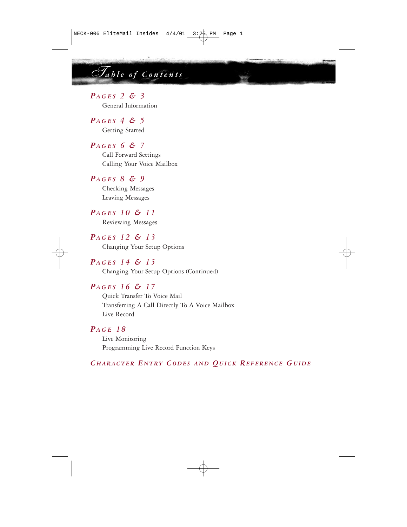*Table of Contents*

## *PAGES 2 & 3*

General Information

*PAGES 4 & 5* Getting Started

# *PAGES 6 & 7*

Call Forward Settings Calling Your Voice Mailbox

# *PAGES 8 & 9*

Checking Messages Leaving Messages

### *PAGES 10 & 11*

Reviewing Messages

# *PAGES 12 & 13*

Changing Your Setup Options

### *PAGES 14 & 15*

Changing Your Setup Options (Continued)

### *PAGES 16 & 17*

Quick Transfer To Voice Mail Transferring A Call Directly To A Voice Mailbox Live Record

# *PAGE 18*

Live Monitoring Programming Live Record Function Keys

### *CHARACTER ENTRY CODES AND QUICK REFERENCE GUIDE*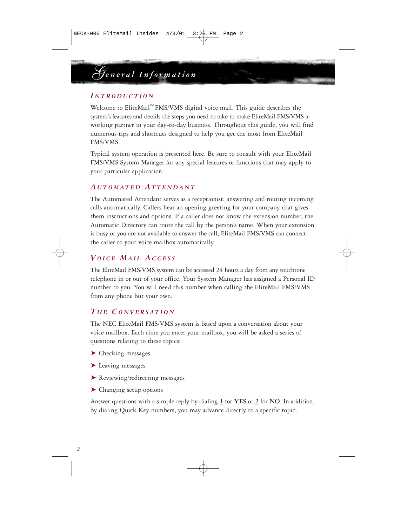# *General Information*

### *I NTRODUCTION*

Welcome to EliteMail™ FMS/VMS digital voice mail. This guide describes the system's features and details the steps you need to take to make EliteMail FMS/VMS a working partner in your day-to-day business. Throughout this guide, you will find numerous tips and shortcuts designed to help you get the most from EliteMail FMS/VMS.

Typical system operation is presented here. Be sure to consult with your EliteMail FMS/VMS System Manager for any special features or functions that may apply to your particular application.

### *A UTOMATED ATTENDANT*

The Automated Attendant serves as a receptionist, answering and routing incoming calls automatically. Callers hear an opening greeting for your company that gives them instructions and options. If a caller does not know the extension number, the Automatic Directory can route the call by the person's name. When your extension is busy or you are not available to answer the call, EliteMail FMS/VMS can connect the caller to your voice mailbox automatically.

# *VOICE MAIL ACCESS*

The EliteMail FMS/VMS system can be accessed 24 hours a day from any touchtone telephone in or out of your office. Your System Manager has assigned a Personal ID number to you. You will need this number when calling the EliteMail FMS/VMS from any phone but your own.

# *T H E CONVERSATION*

The NEC EliteMail FMS/VMS system is based upon a conversation about your voice mailbox. Each time you enter your mailbox, you will be asked a series of questions relating to these topics:

- ➤ Checking messages
- ➤ Leaving messages
- ➤ Reviewing/redirecting messages
- ➤ Changing setup options

Answer questions with a simple reply by dialing **1** for **YES** or **2** for **NO**. In addition, by dialing Quick Key numbers, you may advance directly to a specific topic.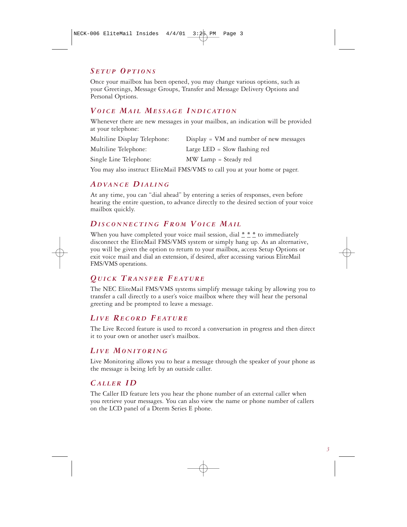### *S ETUP OPTIONS*

Once your mailbox has been opened, you may change various options, such as your Greetings, Message Groups, Transfer and Message Delivery Options and Personal Options.

# *VOICE MAIL MESSAGE I NDICATION*

Whenever there are new messages in your mailbox, an indication will be provided at your telephone:

| Multiline Display Telephone: | $Display = VM$ and number of new messages |
|------------------------------|-------------------------------------------|
| Multiline Telephone:         | Large LED $=$ Slow flashing red           |
| Single Line Telephone:       | MW Lamp = Steady red                      |

You may also instruct EliteMail FMS/VMS to call you at your home or pager.

## *A DVANCE DIALING*

At any time, you can "dial ahead" by entering a series of responses, even before hearing the entire question, to advance directly to the desired section of your voice mailbox quickly.

## *DISCONNECTING FROM VOICE MAIL*

When you have completed your voice mail session, dial **\* \* \*** to immediately disconnect the EliteMail FMS/VMS system or simply hang up. As an alternative, you will be given the option to return to your mailbox, access Setup Options or exit voice mail and dial an extension, if desired, after accessing various EliteMail FMS/VMS operations.

## *QUICK TRANSFER FEATURE*

The NEC EliteMail FMS/VMS systems simplify message taking by allowing you to transfer a call directly to a user's voice mailbox where they will hear the personal greeting and be prompted to leave a message.

# *LIVE RECORD FEATURE*

The Live Record feature is used to record a conversation in progress and then direct it to your own or another user's mailbox.

# *LIVE MONITORING*

Live Monitoring allows you to hear a message through the speaker of your phone as the message is being left by an outside caller.

# *CALLER ID*

The Caller ID feature lets you hear the phone number of an external caller when you retrieve your messages. You can also view the name or phone number of callers on the LCD panel of a Dterm Series E phone.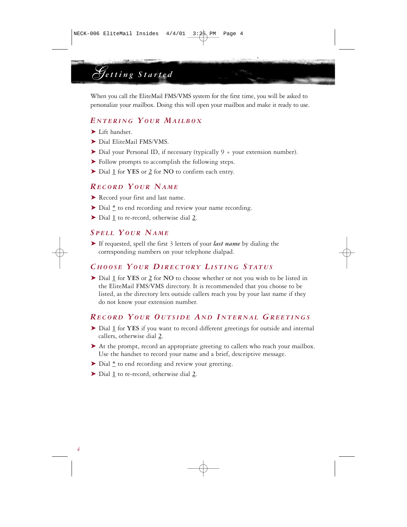*Getting Started*

When you call the EliteMail FMS/VMS system for the first time, you will be asked to personalize your mailbox. Doing this will open your mailbox and make it ready to use.

## *E NTERING YOUR MAILBOX*

- ➤ Lift handset.
- ▶ Dial EliteMail FMS/VMS.
- ➤ Dial your Personal ID, if necessary (typically 9 + your extension number).
- ➤ Follow prompts to accomplish the following steps.
- ➤ Dial **1** for **YES** or **2** for **NO** to confirm each entry.

### *RECORD YOUR NAME*

- ▶ Record your first and last name.
- ➤ Dial **\*** to end recording and review your name recording.
- ➤ Dial **1** to re-record, otherwise dial **2**.

## *S PELL YOUR NAME*

➤ If requested, spell the first 3 letters of your *last name* by dialing the corresponding numbers on your telephone dialpad.

### *C HOOSE YOUR DIRECTORY LISTING STATUS*

➤ Dial **1** for **YES** or **2** for **NO** to choose whether or not you wish to be listed in the EliteMail FMS/VMS directory. It is recommended that you choose to be listed, as the directory lets outside callers reach you by your last name if they do not know your extension number.

### *RECORD YOUR O UTSIDE A N D I NTERNAL GREETINGS*

- ➤ Dial **1** for **YES** if you want to record different greetings for outside and internal callers, otherwise dial **2**.
- ➤ At the prompt, record an appropriate greeting to callers who reach your mailbox. Use the handset to record your name and a brief, descriptive message.
- ➤ Dial **\*** to end recording and review your greeting.
- ➤ Dial **1** to re-record, otherwise dial **2**.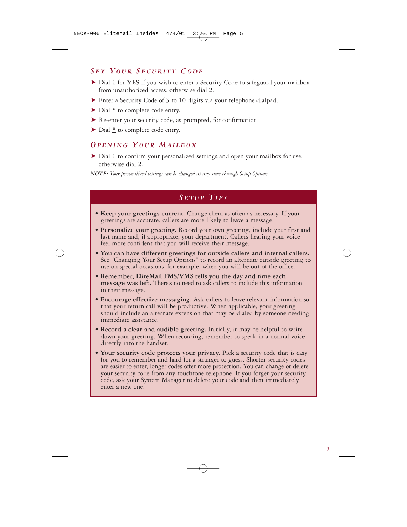### *S E T YOUR S ECURITY CODE*

- ➤ Dial **1** for **YES** if you wish to enter a Security Code to safeguard your mailbox from unauthorized access, otherwise dial **2**.
- ➤ Enter a Security Code of 3 to 10 digits via your telephone dialpad.
- ➤ Dial **\*** to complete code entry.
- ▶ Re-enter your security code, as prompted, for confirmation.
- ➤ Dial **\*** to complete code entry.

### *OPENING YOUR MAILBOX*

➤ Dial **1** to confirm your personalized settings and open your mailbox for use, otherwise dial **2**.

*NOTE: Your personalized settings can be changed at any time through Setup Options.*

### *S ETUP TIPS*

- **Keep your greetings current.** Change them as often as necessary. If your greetings are accurate, callers are more likely to leave a message.
- **Personalize your greeting.** Record your own greeting, include your first and last name and, if appropriate, your department. Callers hearing your voice feel more confident that you will receive their message.
- **You can have different greetings for outside callers and internal callers.** See "Changing Your Setup Options" to record an alternate outside greeting to use on special occasions, for example, when you will be out of the office.
- **Remember, EliteMail FMS/VMS tells you the day and time each message was left.** There's no need to ask callers to include this information in their message.
- **Encourage effective messaging.** Ask callers to leave relevant information so that your return call will be productive. When applicable, your greeting should include an alternate extension that may be dialed by someone needing immediate assistance.
- **Record a clear and audible greeting.** Initially, it may be helpful to write down your greeting. When recording, remember to speak in a normal voice directly into the handset.
- **Your security code protects your privacy.** Pick a security code that is easy for you to remember and hard for a stranger to guess. Shorter security codes are easier to enter, longer codes offer more protection. You can change or delete your security code from any touchtone telephone. If you forget your security code, ask your System Manager to delete your code and then immediately enter a new one.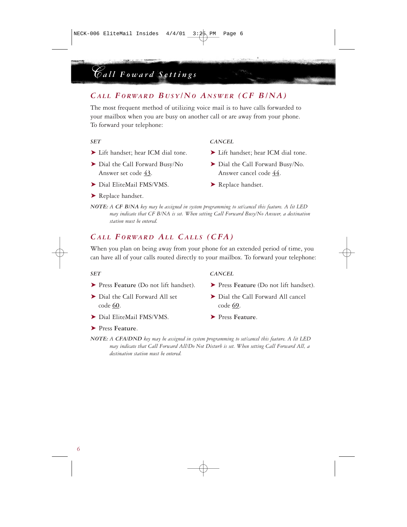# *CALL FORWARD B USY/NO A NSWER (CF B/NA)*

The most frequent method of utilizing voice mail is to have calls forwarded to your mailbox when you are busy on another call or are away from your phone. To forward your telephone:

*Call Foward Settings*

- ➤ Dial the Call Forward Busy/No ➤ Dial the Call Forward Busy/No. Answer set code **43**. Answer cancel code **44**.
- ► Dial EliteMail FMS/VMS. ► Replace handset.
- *SET CANCEL*
- ► Lift handset; hear ICM dial tone. ► Lift handset; hear ICM dial tone.
	-
	-

▶ Replace handset.

*NOTE: A CF B/NA key may be assigned in system programming to set/cancel this feature. A lit LED may indicate that CF B/NA is set. When setting Call Forward Busy/No Answer, a destination station must be entered.*

### *CALL FORWARD AL L CALLS (CFA)*

When you plan on being away from your phone for an extended period of time, you can have all of your calls routed directly to your mailbox. To forward your telephone:

- ➤ Press **Feature** (Do not lift handset). ➤ Press **Feature** (Do not lift handset).
- code **60**. code **69**.
- ➤ Dial EliteMail FMS/VMS. ➤ Press **Feature**.

### *SET CANCEL*

- 
- ➤ Dial the Call Forward All set ➤ Dial the Call Forward All cancel
	-

➤ Press **Feature**.

*NOTE: A CFA/DND key may be assigned in system programming to set/cancel this feature. A lit LED may indicate that Call Forward All/Do Not Disturb is set. When setting Call Forward All, a destination station must be entered.*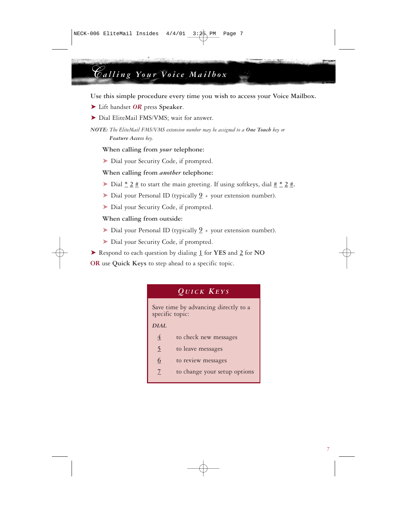# *Calling Your Voice Mailbox*

**Use this simple procedure every time you wish to access your Voice Mailbox.**

- ➤ Lift handset *OR* press **Speaker**.
- ▶ Dial EliteMail FMS/VMS; wait for answer.

*NOTE: The EliteMail FMS/VMS extension number may be assigned to a One Touch key or Feature Access key.*

**When calling from** *your* **telephone:**

➤ Dial your Security Code, if prompted.

**When calling from** *another* **telephone:**

- ➤ Dial **\* 2 #** to start the main greeting. If using softkeys, dial **# \* 2 #.**
- ➤ Dial your Personal ID (typically **\_9** + your extension number).
- ➤ Dial your Security Code, if prompted.

### **When calling from outside:**

- ➤ Dial your Personal ID (typically **\_9** + your extension number).
- ➤ Dial your Security Code, if prompted.
- ➤ Respond to each question by dialing **1** for **YES** and **2** for **NO**

**OR** use **Quick Keys** to step ahead to a specific topic.



| 4      | to check new messages        |
|--------|------------------------------|
| 5      | to leave messages            |
| 6      | to review messages           |
| $\tau$ | to change your setup options |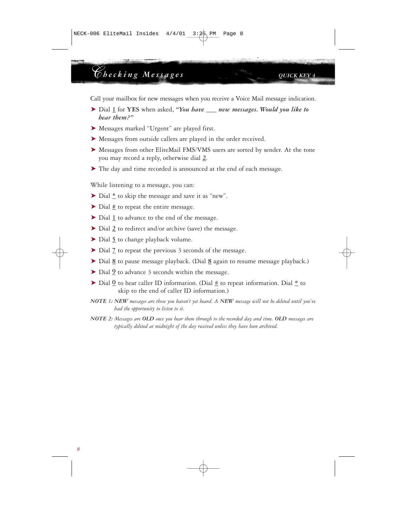# *Checking Messages QUICK KEY 4*

Call your mailbox for new messages when you receive a Voice Mail message indication.

- ➤ Dial **1** for **YES** when asked, *"You have \_\_\_ new messages. Would you like to hear them?"*
- ➤ Messages marked "Urgent" are played first.
- ➤ Messages from outside callers are played in the order received.
- ➤ Messages from other EliteMail FMS/VMS users are sorted by sender. At the tone you may record a reply, otherwise dial **2**.
- ➤ The day and time recorded is announced at the end of each message.

While listening to a message, you can:

- ➤ Dial **\*** to skip the message and save it as "new".
- ➤ Dial **#** to repeat the entire message.
- ➤ Dial **1** to advance to the end of the message.
- ➤ Dial **2** to redirect and/or archive (save) the message.
- ➤ Dial **5** to change playback volume.
- ➤ Dial **7** to repeat the previous 3 seconds of the message.
- ➤ Dial **8** to pause message playback. (Dial **8** again to resume message playback.)
- ▶ Dial <u>9</u> to advance 3 seconds within the message.
- $\triangleright$  Dial  $\underline{0}$  to hear caller ID information. (Dial  $\underline{4}$  to repeat information. Dial  $\underline{*}$  to skip to the end of caller ID information.)
- *NOTE 1: NEW messages are those you haven't yet heard. A NEW message will not be deleted until you've had the opportunity to listen to it.*
- *NOTE 2: Messages are OLD once you hear them through to the recorded day and time. OLD messages are typically deleted at midnight of the day received unless they have been archived.*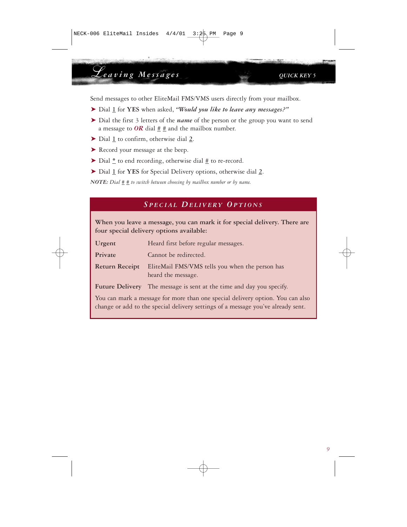# *Leaving Messages QUICK KEY 5*

Send messages to other EliteMail FMS/VMS users directly from your mailbox.

- ➤ Dial **1** for **YES** when asked, *"Would you like to leave any messages?"*
- ➤ Dial the first 3 letters of the *name* of the person or the group you want to send a message to  $OR$  dial  $##$  and the mailbox number.
- ➤ Dial **1** to confirm, otherwise dial **2**.
- ➤ Record your message at the beep.
- ➤ Dial **\*** to end recording, otherwise dial **#** to re-record.
- ➤ Dial **1** for **YES** for Special Delivery options, otherwise dial **2**.

*NOTE: Dial # # to switch between choosing by mailbox number or by name.*

### *S PECIAL DELIVERY OPTIONS*

**When you leave a message, you can mark it for special delivery. There are four special delivery options available:**

| Urgent                                                                         | Heard first before regular messages.                                  |
|--------------------------------------------------------------------------------|-----------------------------------------------------------------------|
| Private                                                                        | Cannot be redirected.                                                 |
| <b>Return Receipt</b>                                                          | EliteMail FMS/VMS tells you when the person has<br>heard the message. |
|                                                                                | Future Delivery The message is sent at the time and day you specify.  |
| You can mark a message for more than one special delivery option. You can also |                                                                       |

change or add to the special delivery settings of a message you've already sent.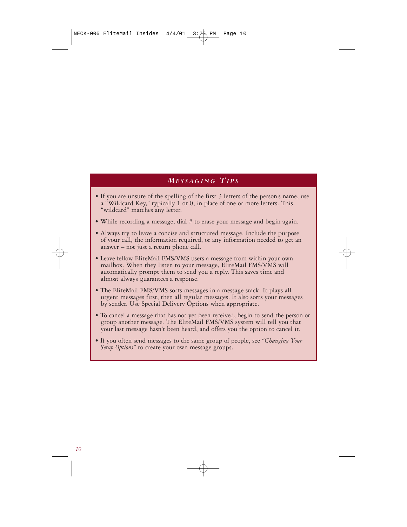### *MESSAGING TIPS*

- If you are unsure of the spelling of the first 3 letters of the person's name, use a "Wildcard Key," typically 1 or 0, in place of one or more letters. This "wildcard" matches any letter.
- While recording a message, dial # to erase your message and begin again.
- Always try to leave a concise and structured message. Include the purpose of your call, the information required, or any information needed to get an answer – not just a return phone call.
- Leave fellow EliteMail FMS/VMS users a message from within your own mailbox. When they listen to your message, EliteMail FMS/VMS will automatically prompt them to send you a reply. This saves time and almost always guarantees a response.
- The EliteMail FMS/VMS sorts messages in a message stack. It plays all urgent messages first, then all regular messages. It also sorts your messages by sender. Use Special Delivery Options when appropriate.
- To cancel a message that has not yet been received, begin to send the person or group another message. The EliteMail FMS/VMS system will tell you that your last message hasn't been heard, and offers you the option to cancel it.
- If you often send messages to the same group of people, see *"Changing Your Setup Options"* to create your own message groups.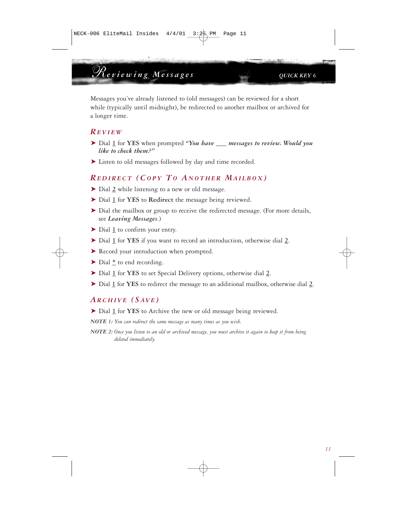Messages you've already listened to (old messages) can be reviewed for a short while (typically until midnight), be redirected to another mailbox or archived for a longer time.

### *REVIEW*

- ➤ Dial **1** for **YES** when prompted *"You have \_\_\_ messages to review. Would you like to check them?"*
- ➤ Listen to old messages followed by day and time recorded.

### *REDIRECT (COPY TO A NOTHER MAILBOX )*

- ➤ Dial **2** while listening to a new or old message.
- ➤ Dial **1** for **YES** to **Redirect** the message being reviewed.
- ➤ Dial the mailbox or group to receive the redirected message. (For more details, see *Leaving Messages*.)
- ➤ Dial **1** to confirm your entry.
- ➤ Dial **1** for **YES** if you want to record an introduction, otherwise dial **2**.
- ▶ Record your introduction when prompted.
- ➤ Dial **\*** to end recording.
- ➤ Dial **1** for **YES** to set Special Delivery options, otherwise dial **2**.
- ➤ Dial **1** for **YES** to redirect the message to an additional mailbox, otherwise dial **2**.

### *ARCHIVE (SAVE )*

- ➤ Dial **1** for **YES** to Archive the new or old message being reviewed.
- *NOTE 1: You can redirect the same message as many times as you wish.*
- *NOTE 2: Once you listen to an old or archived message, you must archive it again to keep it from being deleted immediately.*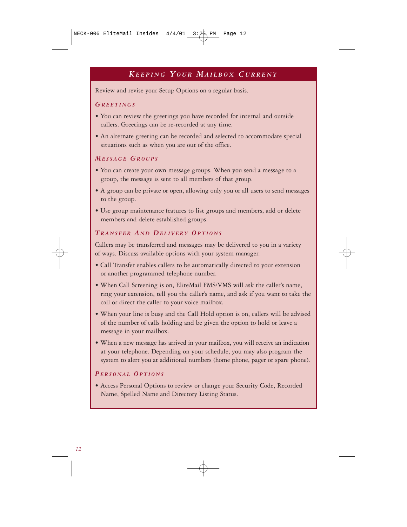# *KEEPING YOUR MAILBOX C URRENT*

Review and revise your Setup Options on a regular basis.

### *GREETINGS*

- You can review the greetings you have recorded for internal and outside callers. Greetings can be re-recorded at any time.
- An alternate greeting can be recorded and selected to accommodate special situations such as when you are out of the office.

### *MESSAGE GROUPS*

- You can create your own message groups. When you send a message to a group, the message is sent to all members of that group.
- A group can be private or open, allowing only you or all users to send messages to the group.
- Use group maintenance features to list groups and members, add or delete members and delete established groups.

### *TRANSFER A N D DELIVERY OPTIONS*

Callers may be transferred and messages may be delivered to you in a variety of ways. Discuss available options with your system manager.

- Call Transfer enables callers to be automatically directed to your extension or another programmed telephone number.
- When Call Screening is on, EliteMail FMS/VMS will ask the caller's name, ring your extension, tell you the caller's name, and ask if you want to take the call or direct the caller to your voice mailbox.
- When your line is busy and the Call Hold option is on, callers will be advised of the number of calls holding and be given the option to hold or leave a message in your mailbox.
- When a new message has arrived in your mailbox, you will receive an indication at your telephone. Depending on your schedule, you may also program the system to alert you at additional numbers (home phone, pager or spare phone).

### *PERSONAL OPTIONS*

• Access Personal Options to review or change your Security Code, Recorded Name, Spelled Name and Directory Listing Status.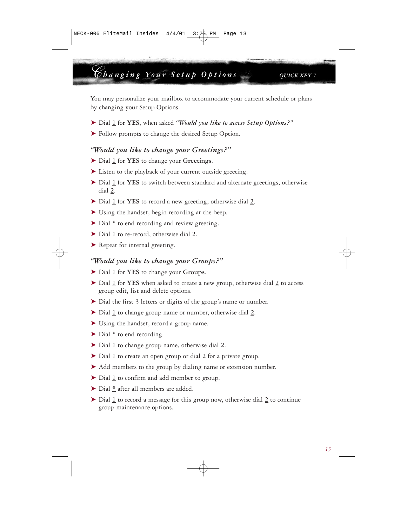# *Changing Your Setup Options QUICK KEY 7*

You may personalize your mailbox to accommodate your current schedule or plans by changing your Setup Options.

- ➤ Dial **1** for **YES**, when asked *"Would you like to access Setup Options?"*
- ➤ Follow prompts to change the desired Setup Option.

### *"Would you like to change your Greetings?"*

- ➤ Dial **1** for **YES** to change your **Greetings**.
- ➤ Listen to the playback of your current outside greeting.
- ➤ Dial **1** for **YES** to switch between standard and alternate greetings, otherwise dial **2**.
- ➤ Dial **1** for **YES** to record a new greeting, otherwise dial **2**.
- ➤ Using the handset, begin recording at the beep.
- ➤ Dial **\*** to end recording and review greeting.
- ➤ Dial **1** to re-record, otherwise dial **2**.
- ▶ Repeat for internal greeting.

### *"Would you like to change your Groups?"*

- ➤ Dial **1** for **YES** to change your **Groups**.
- ➤ Dial **1** for **YES** when asked to create a new group, otherwise dial **2** to access group edit, list and delete options.
- ➤ Dial the first 3 letters or digits of the group's name or number.
- ➤ Dial **1** to change group name or number, otherwise dial **2**.
- ➤ Using the handset, record a group name.
- ➤ Dial **\*** to end recording.
- ➤ Dial **1** to change group name, otherwise dial **2**.
- ➤ Dial **1** to create an open group or dial **2** for a private group.
- ➤ Add members to the group by dialing name or extension number.
- ➤ Dial **1** to confirm and add member to group.
- ➤ Dial **\*** after all members are added.
- ➤ Dial **1** to record a message for this group now, otherwise dial **2** to continue group maintenance options.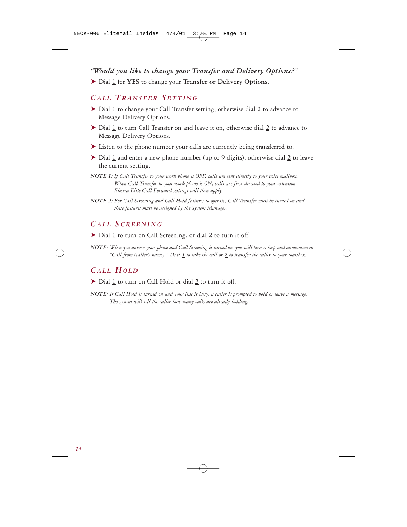### *"Would you like to change your Transfer and Delivery Options?"*

➤ Dial **1** for **YES** to change your **Transfer or Delivery Options**.

### *CALL TRANSFER S ETTING*

- ➤ Dial **1** to change your Call Transfer setting, otherwise dial **2** to advance to Message Delivery Options.
- ➤ Dial **1** to turn Call Transfer on and leave it on, otherwise dial **2** to advance to Message Delivery Options.
- ➤ Listen to the phone number your calls are currently being transferred to.
- ➤ Dial **1** and enter a new phone number (up to 9 digits), otherwise dial **2** to leave the current setting.
- *NOTE 1: If Call Transfer to your work phone is OFF, calls are sent directly to your voice mailbox. When Call Transfer to your work phone is ON, calls are first directed to your extension. Electra Elite Call Forward settings will then apply.*
- *NOTE 2: For Call Screening and Call Hold features to operate, Call Transfer must be turned on and these features must be assigned by the System Manager.*

### *CALL SCREENING*

- ➤ Dial **1** to turn on Call Screening, or dial **2** to turn it off.
- *NOTE: When you answer your phone and Call Screening is turned on, you will hear a beep and announcement "Call from (caller's name)." Dial 1 to take the call or 2 to transfer the caller to your mailbox.*

## *CALL HOLD*

- ➤ Dial **1** to turn on Call Hold or dial **2** to turn it off.
- *NOTE: If Call Hold is turned on and your line is busy, a caller is prompted to hold or leave a message. The system will tell the caller how many calls are already holding.*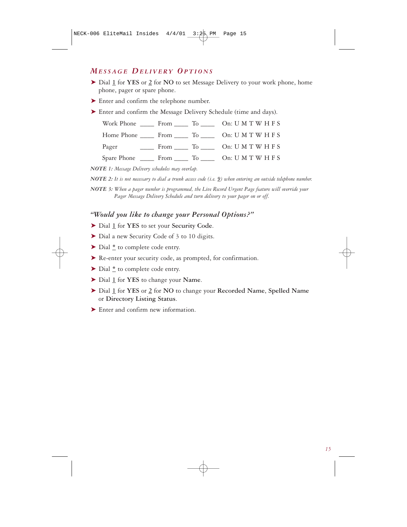### *MESSAGE DELIVERY OPTIONS*

- ➤ Dial **1** for **YES** or **2** for **NO** to set Message Delivery to your work phone, home phone, pager or spare phone.
- ➤ Enter and confirm the telephone number.
- ➤ Enter and confirm the Message Delivery Schedule (time and days).

|  | Pager From To On: UMTWHFS |
|--|---------------------------|
|  |                           |

*NOTE 1: Message Delivery schedules may overlap.*

*NOTE 2: It is not necessary to dial a trunk access code (i.e. 9) when entering an outside telephone number.*

*NOTE 3: When a pager number is programmed, the Live Record Urgent Page feature will override your Pager Message Delivery Schedule and turn delivery to your pager on or off.*

### *"Would you like to change your Personal Options?"*

- ➤ Dial **1** for **YES** to set your **Security Code**.
- ➤ Dial a new Security Code of 3 to 10 digits.
- ➤ Dial **\*** to complete code entry.
- ➤ Re-enter your security code, as prompted, for confirmation.
- ➤ Dial **\*** to complete code entry.
- ➤ Dial **1** for **YES** to change your **Name**.
- ➤ Dial **1** for **YES** or **2** for **NO** to change your **Recorded Name**, **Spelled Name** or **Directory Listing Status**.
- ➤ Enter and confirm new information.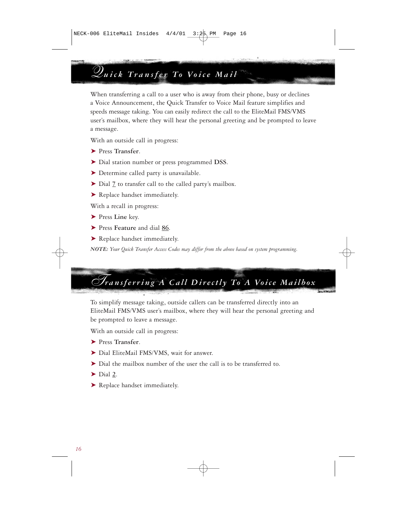# *Quick Transfer To Voice Mail*

When transferring a call to a user who is away from their phone, busy or declines a Voice Announcement, the Quick Transfer to Voice Mail feature simplifies and speeds message taking. You can easily redirect the call to the EliteMail FMS/VMS user's mailbox, where they will hear the personal greeting and be prompted to leave a message.

With an outside call in progress:

- ➤ Press **Transfer**.
- ➤ Dial station number or press programmed **DSS**.
- ➤ Determine called party is unavailable.
- ➤ Dial **7** to transfer call to the called party's mailbox.
- ▶ Replace handset immediately.

With a recall in progress:

- ➤ Press **Line** key.
- ➤ Press **Feature** and dial **86**.
- ▶ Replace handset immediately.

*NOTE: Your Quick Transfer Access Codes may differ from the above based on system programming.*

# *Transferring A Call Directly To A Voice Mailbox*

To simplify message taking, outside callers can be transferred directly into an EliteMail FMS/VMS user's mailbox, where they will hear the personal greeting and be prompted to leave a message.

With an outside call in progress:

- ➤ Press **Transfer**.
- ▶ Dial EliteMail FMS/VMS, wait for answer.
- ➤ Dial the mailbox number of the user the call is to be transferred to.
- ➤ Dial **2**.
- ▶ Replace handset immediately.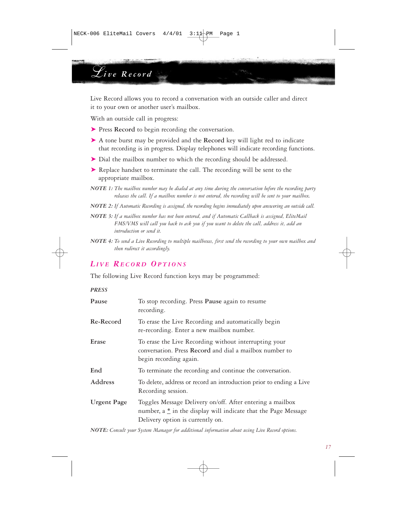# *Live Record*

Live Record allows you to record a conversation with an outside caller and direct it to your own or another user's mailbox.

With an outside call in progress:

- ➤ Press **Record** to begin recording the conversation.
- ➤ A tone burst may be provided and the **Record** key will light red to indicate that recording is in progress. Display telephones will indicate recording functions.
- ▶ Dial the mailbox number to which the recording should be addressed.
- ➤ Replace handset to terminate the call. The recording will be sent to the appropriate mailbox.
- *NOTE 1: The mailbox number may be dialed at any time during the conversation before the recording party releases the call. If a mailbox number is not entered, the recording will be sent to your mailbox.*
- *NOTE 2: If Automatic Recording is assigned, the recording begins immediately upon answering an outside call.*
- *NOTE 3: If a mailbox number has not been entered, and if Automatic Callback is assigned, EliteMail FMS/VMS will call you back to ask you if you want to delete the call, address it, add an introduction or send it.*
- *NOTE 4: To send a Live Recording to multiple mailboxes, first send the recording to your own mailbox and then redirect it accordingly.*

### *LIVE RECORD OPTIONS*

The following Live Record function keys may be programmed:

*PRESS*

| Pause              | To stop recording. Press Pause again to resume<br>recording.                                                                                                    |  |
|--------------------|-----------------------------------------------------------------------------------------------------------------------------------------------------------------|--|
| Re-Record          | To erase the Live Recording and automatically begin<br>re-recording. Enter a new mailbox number.                                                                |  |
| Erase              | To erase the Live Recording without interrupting your<br>conversation. Press Record and dial a mailbox number to<br>begin recording again.                      |  |
| End                | To terminate the recording and continue the conversation.                                                                                                       |  |
| Address            | To delete, address or record an introduction prior to ending a Live<br>Recording session.                                                                       |  |
| <b>Urgent Page</b> | Toggles Message Delivery on/off. After entering a mailbox<br>number, a * in the display will indicate that the Page Message<br>Delivery option is currently on. |  |

*NOTE: Consult your System Manager for additional information about using Live Record options.*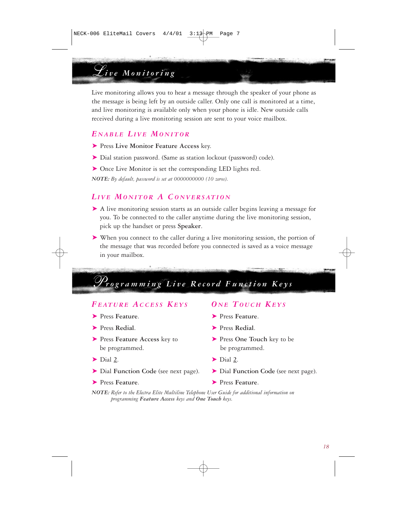# *Live Monitoring*

Live monitoring allows you to hear a message through the speaker of your phone as the message is being left by an outside caller. Only one call is monitored at a time, and live monitoring is available only when your phone is idle. New outside calls received during a live monitoring session are sent to your voice mailbox.

### *E NABLE LIVE MONITOR*

- ➤ Press **Live Monitor Feature Access** key.
- ➤ Dial station password. (Same as station lockout (password) code).
- ▶ Once Live Monitor is set the corresponding LED lights red.

*NOTE: By default, password is set at 0000000000 (10 zeros).*

### *LIVE MONITOR A CONVERSATION*

- ➤ A live monitoring session starts as an outside caller begins leaving a message for you. To be connected to the caller anytime during the live monitoring session, pick up the handset or press **Speaker**.
- ➤ When you connect to the caller during a live monitoring session, the portion of the message that was recorded before you connected is saved as a voice message in your mailbox.

# *Programming Live Record Function Keys*

## *FEATURE ACCESS KEYS O N E TOUCH KEYS*

- 
- ➤ Press **Redial**. ➤ Press **Redial**.
- ► Press Feature Access key to ► Press One Touch key to be be programmed. be programmed.
- 
- ➤ Dial **Function Code** (see next page). ➤ Dial **Function Code** (see next page).
- ➤ Press **Feature**. ➤ Press **Feature**.

- ➤ Press **Feature**. ➤ Press **Feature**.
	-
	-
- ► Dial 2. ► Dial 2.
	-
	-

*NOTE: Refer to the Electra Elite Multiline Telephone User Guide for additional information on programming Feature Access keys and One Touch keys.*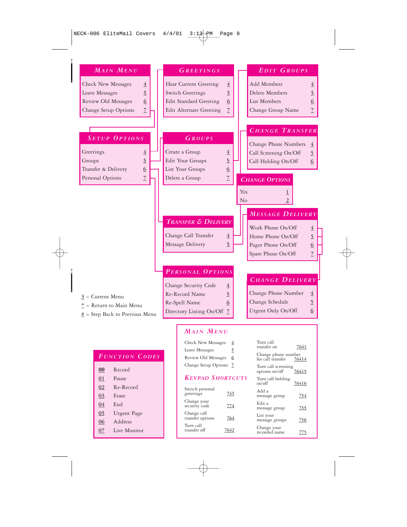| <b>MAIN MENU</b>                                                       |  | <b>GREETINGS</b>                                                                | EDIT GROUPS                                |  |  |  |
|------------------------------------------------------------------------|--|---------------------------------------------------------------------------------|--------------------------------------------|--|--|--|
| <b>Check New Messages</b><br>$\overline{4}$                            |  | Hear Current Greeting<br>$\overline{4}$                                         | Add Members<br>$\overline{4}$              |  |  |  |
| $\overline{2}$<br>Leave Messages                                       |  | $\overline{2}$<br>Switch Greetings                                              | Delete Members<br>$\overline{2}$           |  |  |  |
| Review Old Messages<br>6                                               |  | <b>Edit Standard Greeting</b><br>6                                              | 6<br>List Members                          |  |  |  |
| $\overline{L}$<br>Change Setup Options                                 |  | $\overline{Z}$<br>Edit Alternate Greeting                                       | $7\overline{ }$<br>Change Group Name       |  |  |  |
|                                                                        |  |                                                                                 |                                            |  |  |  |
|                                                                        |  |                                                                                 | <b>CHANGE TRANSFER</b>                     |  |  |  |
| <b>SETUP OPTIONS</b>                                                   |  | GROUPS                                                                          |                                            |  |  |  |
| Greetings<br>$\overline{4}$                                            |  | Create a Group<br>$\overline{4}$                                                | Change Phone Numbers<br>$\overline{4}$     |  |  |  |
| $\overline{2}$<br>Groups                                               |  | $\overline{2}$<br>Edit Your Groups                                              | $\overline{2}$<br>Call Screening On/Off    |  |  |  |
| Transfer & Delivery<br>$\underline{6}$                                 |  | $\underline{6}$<br>List Your Groups                                             | Call Holding On/Off<br>$6 \overline{6}$    |  |  |  |
| $\overline{Z}$<br>Personal Options                                     |  | $\overline{Z}$<br>Delete a Group                                                | <b>CHANGE OPTIONS</b>                      |  |  |  |
|                                                                        |  |                                                                                 |                                            |  |  |  |
|                                                                        |  |                                                                                 | Yes<br>⊥                                   |  |  |  |
|                                                                        |  |                                                                                 | $\overline{c}$<br>No                       |  |  |  |
|                                                                        |  |                                                                                 | <b>MESSAGE DELIVERY</b>                    |  |  |  |
|                                                                        |  | <b>TRANSFER &amp; DELIVERY</b>                                                  |                                            |  |  |  |
|                                                                        |  |                                                                                 | Work Phone On/Off<br>$\overline{4}$        |  |  |  |
|                                                                        |  | Change Call Transfer<br>$\overline{4}$                                          | Home Phone On/Off<br>$\overline{2}$        |  |  |  |
|                                                                        |  | $\overline{2}$<br>Message Delivery                                              | Pager Phone On/Off<br>$6 \overline{6}$     |  |  |  |
|                                                                        |  |                                                                                 | $\overline{Z}$<br>Spare Phone On/Off       |  |  |  |
|                                                                        |  |                                                                                 |                                            |  |  |  |
|                                                                        |  | PERSONAL OPTIONS<br><b>CHANGE DELIVERY</b>                                      |                                            |  |  |  |
|                                                                        |  | Change Security Code<br>$\overline{4}$                                          |                                            |  |  |  |
| $3$ = Current Menu                                                     |  | 5<br>Re-Record Name                                                             | Change Phone Number<br>$\overline{4}$      |  |  |  |
| * = Return to Main Menu                                                |  | Re-Spell Name<br>6                                                              | $\overline{2}$<br>Change Schedule          |  |  |  |
| # = Step Back to Previous Menu                                         |  | Directory Listing On/Off 7                                                      | Urgent Only On/Off<br>6                    |  |  |  |
|                                                                        |  |                                                                                 |                                            |  |  |  |
| <b>MAIN MENU</b>                                                       |  |                                                                                 |                                            |  |  |  |
|                                                                        |  | Check New Messages<br>$\overline{4}$                                            | Turn call                                  |  |  |  |
|                                                                        |  | $\overline{5}$<br>Leave Messages                                                | transfer on<br>7641<br>Change phone number |  |  |  |
| <b>FUNCTION CODES</b><br>Review Old Messages<br>6<br>for call transfer |  | 76414                                                                           |                                            |  |  |  |
| $\underline{00}$<br>Record                                             |  | Change Setup Options Z<br>Turn call screening<br><u>76415</u><br>options on/off |                                            |  |  |  |
| Pause<br>$\underline{01}$                                              |  | <b>KEYPAD SHORTCUTS</b><br>Turn call holding<br>on/off                          |                                            |  |  |  |
| Re-Record<br>02                                                        |  | <u>76416</u><br>Switch personal<br>Add a                                        |                                            |  |  |  |
| 03<br>Erase                                                            |  | greetings<br><u>745</u>                                                         | message group<br><u>754</u>                |  |  |  |
| $\underline{04}$<br>End                                                |  | Change your<br><u>774</u><br>security code                                      | Edit a<br><u>755</u><br>message group      |  |  |  |

Change call transfer options **764** Turn call transfer off **7642**

List your message groups **756** Change your recorded name **775**

- **04** End
- **05** Urgent Page
- **06** Address
- **07** Live Monitor